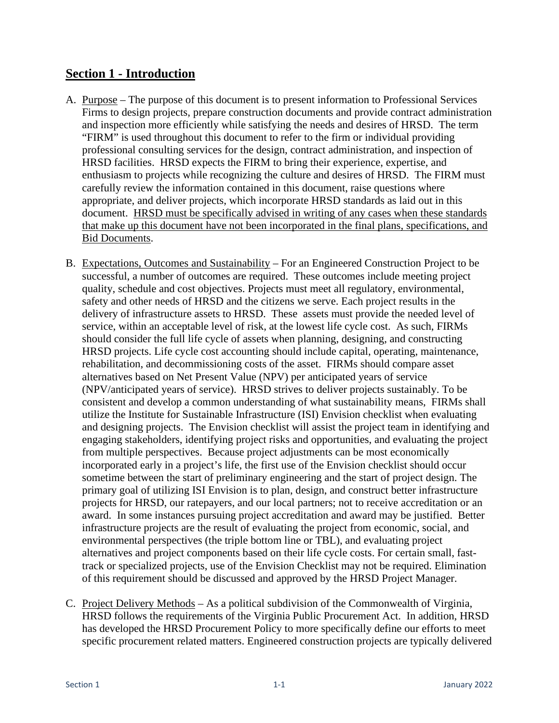## **Section 1 - Introduction**

- A. Purpose The purpose of this document is to present information to Professional Services Firms to design projects, prepare construction documents and provide contract administration and inspection more efficiently while satisfying the needs and desires of HRSD. The term "FIRM" is used throughout this document to refer to the firm or individual providing professional consulting services for the design, contract administration, and inspection of HRSD facilities. HRSD expects the FIRM to bring their experience, expertise, and enthusiasm to projects while recognizing the culture and desires of HRSD. The FIRM must carefully review the information contained in this document, raise questions where appropriate, and deliver projects, which incorporate HRSD standards as laid out in this document. HRSD must be specifically advised in writing of any cases when these standards that make up this document have not been incorporated in the final plans, specifications, and Bid Documents.
- B. Expectations, Outcomes and Sustainability For an Engineered Construction Project to be successful, a number of outcomes are required. These outcomes include meeting project quality, schedule and cost objectives. Projects must meet all regulatory, environmental, safety and other needs of HRSD and the citizens we serve. Each project results in the delivery of infrastructure assets to HRSD. These assets must provide the needed level of service, within an acceptable level of risk, at the lowest life cycle cost. As such, FIRMs should consider the full life cycle of assets when planning, designing, and constructing HRSD projects. Life cycle cost accounting should include capital, operating, maintenance, rehabilitation, and decommissioning costs of the asset. FIRMs should compare asset alternatives based on Net Present Value (NPV) per anticipated years of service (NPV/anticipated years of service). HRSD strives to deliver projects sustainably. To be consistent and develop a common understanding of what sustainability means, FIRMs shall utilize the Institute for Sustainable Infrastructure (ISI) Envision checklist when evaluating and designing projects. The Envision checklist will assist the project team in identifying and engaging stakeholders, identifying project risks and opportunities, and evaluating the project from multiple perspectives. Because project adjustments can be most economically incorporated early in a project's life, the first use of the Envision checklist should occur sometime between the start of preliminary engineering and the start of project design. The primary goal of utilizing ISI Envision is to plan, design, and construct better infrastructure projects for HRSD, our ratepayers, and our local partners; not to receive accreditation or an award. In some instances pursuing project accreditation and award may be justified. Better infrastructure projects are the result of evaluating the project from economic, social, and environmental perspectives (the triple bottom line or TBL), and evaluating project alternatives and project components based on their life cycle costs. For certain small, fasttrack or specialized projects, use of the Envision Checklist may not be required. Elimination of this requirement should be discussed and approved by the HRSD Project Manager.
- C. Project Delivery Methods As a political subdivision of the Commonwealth of Virginia, HRSD follows the requirements of the Virginia Public Procurement Act. In addition, HRSD has developed the HRSD Procurement Policy to more specifically define our efforts to meet specific procurement related matters. Engineered construction projects are typically delivered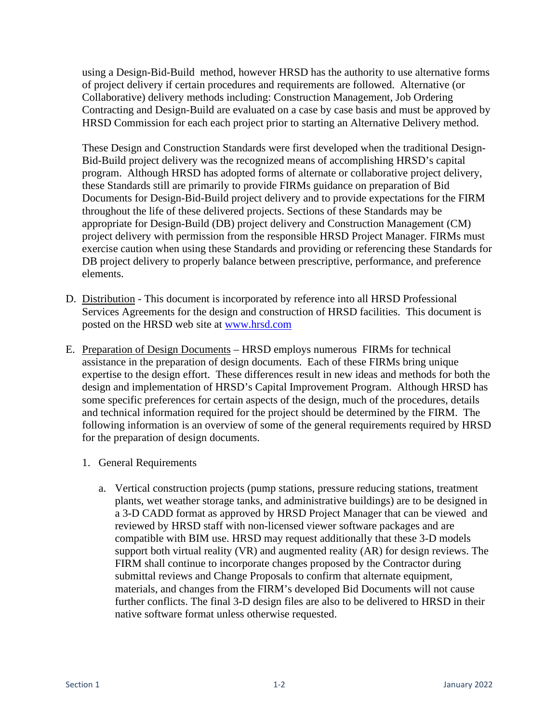using a Design-Bid-Build method, however HRSD has the authority to use alternative forms of project delivery if certain procedures and requirements are followed. Alternative (or Collaborative) delivery methods including: Construction Management, Job Ordering Contracting and Design-Build are evaluated on a case by case basis and must be approved by HRSD Commission for each each project prior to starting an Alternative Delivery method.

These Design and Construction Standards were first developed when the traditional Design-Bid-Build project delivery was the recognized means of accomplishing HRSD's capital program. Although HRSD has adopted forms of alternate or collaborative project delivery, these Standards still are primarily to provide FIRMs guidance on preparation of Bid Documents for Design-Bid-Build project delivery and to provide expectations for the FIRM throughout the life of these delivered projects. Sections of these Standards may be appropriate for Design-Build (DB) project delivery and Construction Management (CM) project delivery with permission from the responsible HRSD Project Manager. FIRMs must exercise caution when using these Standards and providing or referencing these Standards for DB project delivery to properly balance between prescriptive, performance, and preference elements.

- D. Distribution This document is incorporated by reference into all HRSD Professional Services Agreements for the design and construction of HRSD facilities. This document is posted on the HRSD web site at [www.hrsd.com](http://www.hrsd.com/)
- E. Preparation of Design Documents HRSD employs numerous FIRMs for technical assistance in the preparation of design documents. Each of these FIRMs bring unique expertise to the design effort. These differences result in new ideas and methods for both the design and implementation of HRSD's Capital Improvement Program. Although HRSD has some specific preferences for certain aspects of the design, much of the procedures, details and technical information required for the project should be determined by the FIRM. The following information is an overview of some of the general requirements required by HRSD for the preparation of design documents.
	- 1. General Requirements
		- a. Vertical construction projects (pump stations, pressure reducing stations, treatment plants, wet weather storage tanks, and administrative buildings) are to be designed in a 3-D CADD format as approved by HRSD Project Manager that can be viewed and reviewed by HRSD staff with non-licensed viewer software packages and are compatible with BIM use. HRSD may request additionally that these 3-D models support both virtual reality (VR) and augmented reality (AR) for design reviews. The FIRM shall continue to incorporate changes proposed by the Contractor during submittal reviews and Change Proposals to confirm that alternate equipment, materials, and changes from the FIRM's developed Bid Documents will not cause further conflicts. The final 3-D design files are also to be delivered to HRSD in their native software format unless otherwise requested.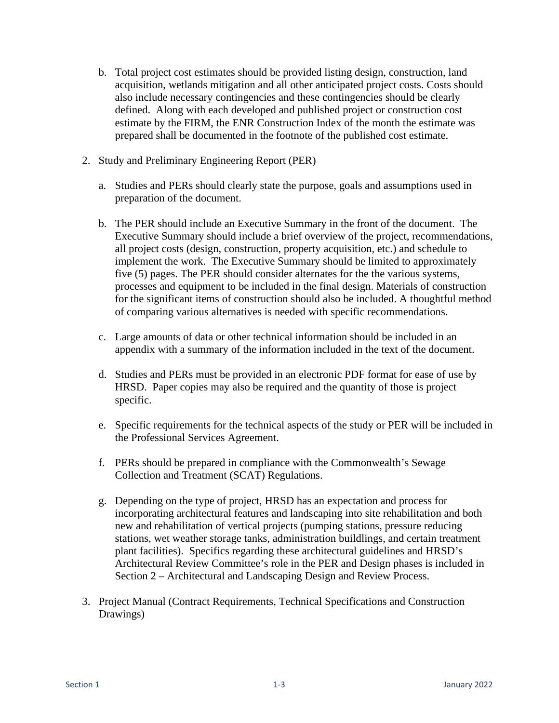- b. Total project cost estimates should be provided listing design, construction, land acquisition, wetlands mitigation and all other anticipated project costs. Costs should also include necessary contingencies and these contingencies should be clearly defined. Along with each developed and published project or construction cost estimate by the FIRM, the ENR Construction Index of the month the estimate was prepared shall be documented in the footnote of the published cost estimate.
- 2. Study and Preliminary Engineering Report (PER)
	- a. Studies and PERs should clearly state the purpose, goals and assumptions used in preparation of the document.
	- b. The PER should include an Executive Summary in the front of the document. The Executive Summary should include a brief overview of the project, recommendations, all project costs (design, construction, property acquisition, etc.) and schedule to implement the work. The Executive Summary should be limited to approximately five (5) pages. The PER should consider alternates for the the various systems, processes and equipment to be included in the final design. Materials of construction for the significant items of construction should also be included. A thoughtful method of comparing various alternatives is needed with specific recommendations.
	- c. Large amounts of data or other technical information should be included in an appendix with a summary of the information included in the text of the document.
	- d. Studies and PERs must be provided in an electronic PDF format for ease of use by HRSD. Paper copies may also be required and the quantity of those is project specific.
	- e. Specific requirements for the technical aspects of the study or PER will be included in the Professional Services Agreement.
	- f. PERs should be prepared in compliance with the Commonwealth's Sewage Collection and Treatment (SCAT) Regulations.
	- g. Depending on the type of project, HRSD has an expectation and process for incorporating architectural features and landscaping into site rehabilitation and both new and rehabilitation of vertical projects (pumping stations, pressure reducing stations, wet weather storage tanks, administration buildlings, and certain treatment plant facilities). Specifics regarding these architectural guidelines and HRSD's Architectural Review Committee's role in the PER and Design phases is included in Section 2 – Architectural and Landscaping Design and Review Process.
- 3. Project Manual (Contract Requirements, Technical Specifications and Construction Drawings)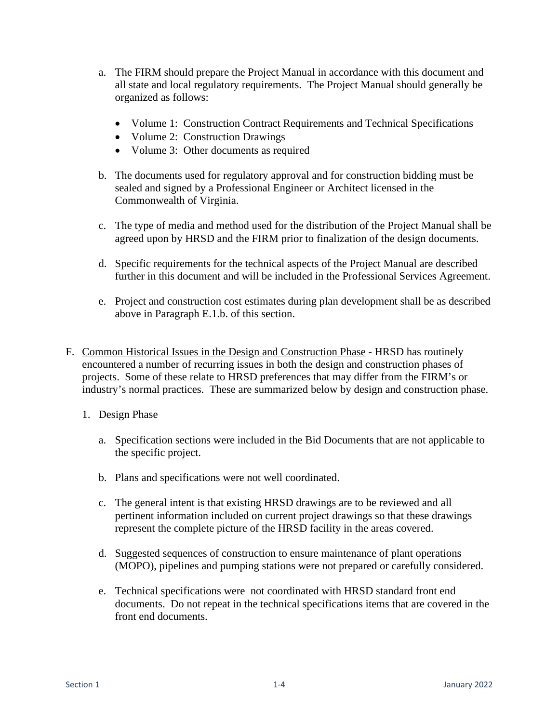- a. The FIRM should prepare the Project Manual in accordance with this document and all state and local regulatory requirements. The Project Manual should generally be organized as follows:
	- Volume 1: Construction Contract Requirements and Technical Specifications
	- Volume 2: Construction Drawings
	- Volume 3: Other documents as required
- b. The documents used for regulatory approval and for construction bidding must be sealed and signed by a Professional Engineer or Architect licensed in the Commonwealth of Virginia.
- c. The type of media and method used for the distribution of the Project Manual shall be agreed upon by HRSD and the FIRM prior to finalization of the design documents.
- d. Specific requirements for the technical aspects of the Project Manual are described further in this document and will be included in the Professional Services Agreement.
- e. Project and construction cost estimates during plan development shall be as described above in Paragraph E.1.b. of this section.
- F. Common Historical Issues in the Design and Construction Phase HRSD has routinely encountered a number of recurring issues in both the design and construction phases of projects. Some of these relate to HRSD preferences that may differ from the FIRM's or industry's normal practices. These are summarized below by design and construction phase.
	- 1. Design Phase
		- a. Specification sections were included in the Bid Documents that are not applicable to the specific project.
		- b. Plans and specifications were not well coordinated.
		- c. The general intent is that existing HRSD drawings are to be reviewed and all pertinent information included on current project drawings so that these drawings represent the complete picture of the HRSD facility in the areas covered.
		- d. Suggested sequences of construction to ensure maintenance of plant operations (MOPO), pipelines and pumping stations were not prepared or carefully considered.
		- e. Technical specifications were not coordinated with HRSD standard front end documents. Do not repeat in the technical specifications items that are covered in the front end documents.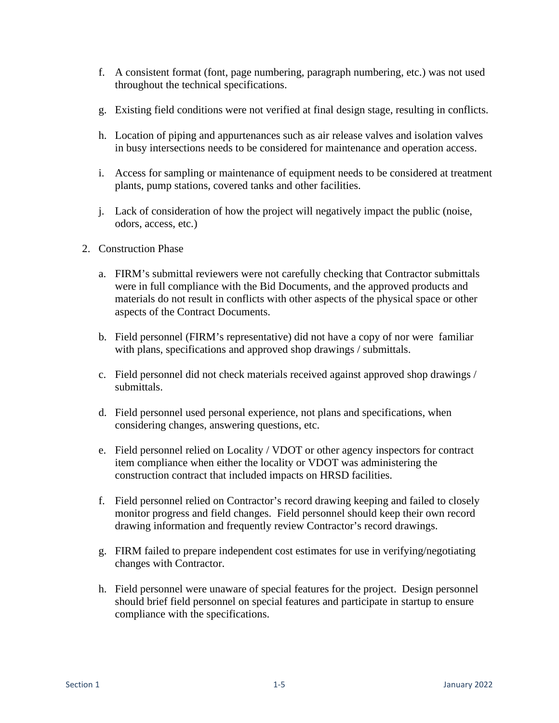- f. A consistent format (font, page numbering, paragraph numbering, etc.) was not used throughout the technical specifications.
- g. Existing field conditions were not verified at final design stage, resulting in conflicts.
- h. Location of piping and appurtenances such as air release valves and isolation valves in busy intersections needs to be considered for maintenance and operation access.
- i. Access for sampling or maintenance of equipment needs to be considered at treatment plants, pump stations, covered tanks and other facilities.
- j. Lack of consideration of how the project will negatively impact the public (noise, odors, access, etc.)
- 2. Construction Phase
	- a. FIRM's submittal reviewers were not carefully checking that Contractor submittals were in full compliance with the Bid Documents, and the approved products and materials do not result in conflicts with other aspects of the physical space or other aspects of the Contract Documents.
	- b. Field personnel (FIRM's representative) did not have a copy of nor were familiar with plans, specifications and approved shop drawings / submittals.
	- c. Field personnel did not check materials received against approved shop drawings / submittals.
	- d. Field personnel used personal experience, not plans and specifications, when considering changes, answering questions, etc.
	- e. Field personnel relied on Locality / VDOT or other agency inspectors for contract item compliance when either the locality or VDOT was administering the construction contract that included impacts on HRSD facilities.
	- f. Field personnel relied on Contractor's record drawing keeping and failed to closely monitor progress and field changes. Field personnel should keep their own record drawing information and frequently review Contractor's record drawings.
	- g. FIRM failed to prepare independent cost estimates for use in verifying/negotiating changes with Contractor.
	- h. Field personnel were unaware of special features for the project. Design personnel should brief field personnel on special features and participate in startup to ensure compliance with the specifications.